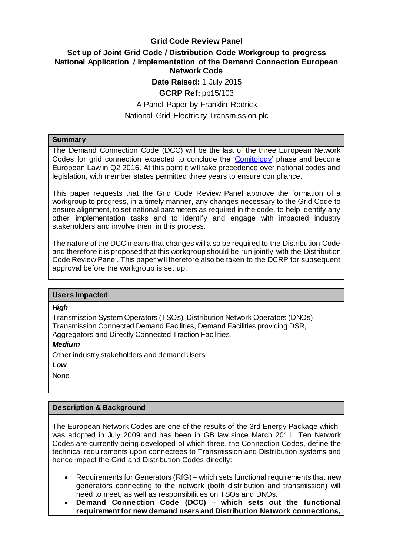### **Grid Code Review Panel**

# **Set up of Joint Grid Code / Distribution Code Workgroup to progress National Application / Implementation of the Demand Connection European Network Code Date Raised:** 1 July 2015

# **GCRP Ref:** pp15/103

### A Panel Paper by Franklin Rodrick National Grid Electricity Transmission plc

#### **Summary**

The Demand Connection Code (DCC) will be the last of the three European Network Codes for grid connection expected to conclude the 'C[omitology'](http://ec.europa.eu/transparency/regcomitology/index.cfm?do=implementing.home) phase and become European Law in Q2 2016. At this point it will take precedence over national codes and legislation, with member states permitted three years to ensure compliance.

This paper requests that the Grid Code Review Panel approve the formation of a workgroup to progress, in a timely manner, any changes necessary to the Grid Code to ensure alignment, to set national parameters as required in the code, to help identify any other implementation tasks and to identify and engage with impacted industry stakeholders and involve them in this process.

The nature of the DCC means that changes will also be required to the Distribution Code and therefore it is proposed that this workgroup should be run jointly with the Distribution Code Review Panel. This paper will therefore also be taken to the DCRP for subsequent approval before the workgroup is set up.

#### **Users Impacted**

#### *High*

Transmission System Operators (TSOs), Distribution Network Operators (DNOs), Transmission Connected Demand Facilities, Demand Facilities providing DSR, Aggregators and Directly Connected Traction Facilities.

#### *Medium*

Other industry stakeholders and demand Users

*Low* 

None

#### **Description & Background**

The European Network Codes are one of the results of the 3rd Energy Package which was adopted in July 2009 and has been in GB law since March 2011. Ten Network Codes are currently being developed of which three, the Connection Codes, define the technical requirements upon connectees to Transmission and Distribution systems and hence impact the Grid and Distribution Codes directly:

- Requirements for Generators (RfG) which sets functional requirements that new generators connecting to the network (both distribution and transmission) will need to meet, as well as responsibilities on TSOs and DNOs.
- **Demand Connection Code (DCC) – which sets out the functional requirement for new demand users and Distribution Network connections,**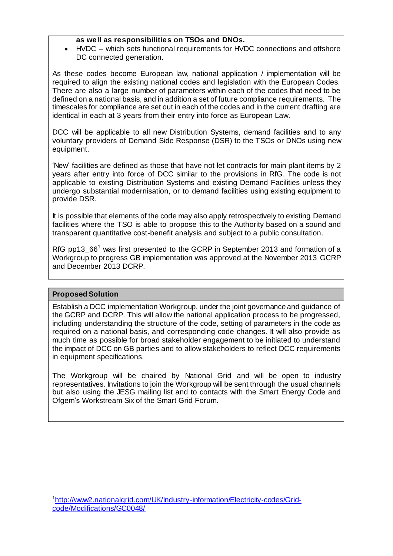#### **as well as responsibilities on TSOs and DNOs.**

 HVDC – which sets functional requirements for HVDC connections and offshore DC connected generation.

As these codes become European law, national application / implementation will be required to align the existing national codes and legislation with the European Codes. There are also a large number of parameters within each of the codes that need to be defined on a national basis, and in addition a set of future compliance requirements. The timescales for compliance are set out in each of the codes and in the current drafting are identical in each at 3 years from their entry into force as European Law.

DCC will be applicable to all new Distribution Systems, demand facilities and to any voluntary providers of Demand Side Response (DSR) to the TSOs or DNOs using new equipment.

'New' facilities are defined as those that have not let contracts for main plant items by 2 years after entry into force of DCC similar to the provisions in RfG. The code is not applicable to existing Distribution Systems and existing Demand Facilities unless they undergo substantial modernisation, or to demand facilities using existing equipment to provide DSR.

It is possible that elements of the code may also apply retrospectively to existing Demand facilities where the TSO is able to propose this to the Authority based on a sound and transparent quantitative cost-benefit analysis and subject to a public consultation.

RfG pp13\_66<sup>1</sup> was first presented to the GCRP in September 2013 and formation of a Workgroup to progress GB implementation was approved at the November 2013 GCRP and December 2013 DCRP.

#### **Proposed Solution**

Establish a DCC implementation Workgroup, under the joint governance and guidance of the GCRP and DCRP. This will allow the national application process to be progressed, including understanding the structure of the code, setting of parameters in the code as required on a national basis, and corresponding code changes. It will also provide as much time as possible for broad stakeholder engagement to be initiated to understand the impact of DCC on GB parties and to allow stakeholders to reflect DCC requirements in equipment specifications.

The Workgroup will be chaired by National Grid and will be open to industry representatives. Invitations to join the Workgroup will be sent through the usual channels but also using the JESG mailing list and to contacts with the Smart Energy Code and Ofgem's Workstream Six of the Smart Grid Forum.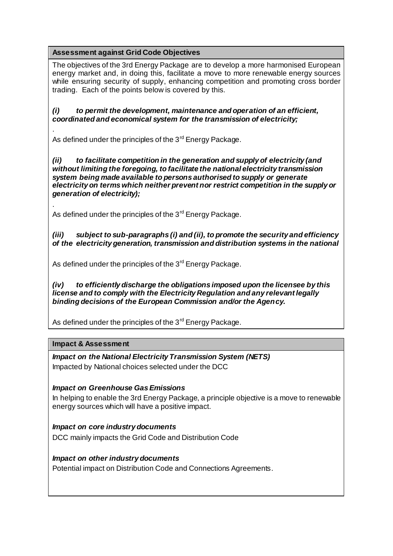**Assessment against Grid Code Objectives**

The objectives of the 3rd Energy Package are to develop a more harmonised European energy market and, in doing this, facilitate a move to more renewable energy sources while ensuring security of supply, enhancing competition and promoting cross border trading. Each of the points below is covered by this.

*(i) to permit the development, maintenance and operation of an efficient, coordinated and economical system for the transmission of electricity;*

As defined under the principles of the  $3<sup>rd</sup>$  Energy Package.

*(ii) to facilitate competition in the generation and supply of electricity (and without limiting the foregoing, to facilitate the national electricity transmission system being made available to persons authorised to supply or generate electricity on terms which neither prevent nor restrict competition in the supply or generation of electricity);*

As defined under the principles of the 3<sup>rd</sup> Energy Package.

*(iii) subject to sub-paragraphs (i) and (ii), to promote the security and efficiency of the electricity generation, transmission and distribution systems in the national* 

As defined under the principles of the  $3<sup>rd</sup>$  Energy Package.

*(iv) to efficiently discharge the obligations imposed upon the licensee by this license and to comply with the Electricity Regulation and any relevant legally binding decisions of the European Commission and/or the Agency.*

As defined under the principles of the  $3<sup>rd</sup>$  Energy Package.

#### **Impact & Assessment**

.

.

*Impact on the National Electricity Transmission System (NETS)* Impacted by National choices selected under the DCC

#### *Impact on Greenhouse Gas Emissions*

In helping to enable the 3rd Energy Package, a principle objective is a move to renewable energy sources which will have a positive impact.

*Impact on core industry documents* DCC mainly impacts the Grid Code and Distribution Code

*Impact on other industry documents* Potential impact on Distribution Code and Connections Agreements.